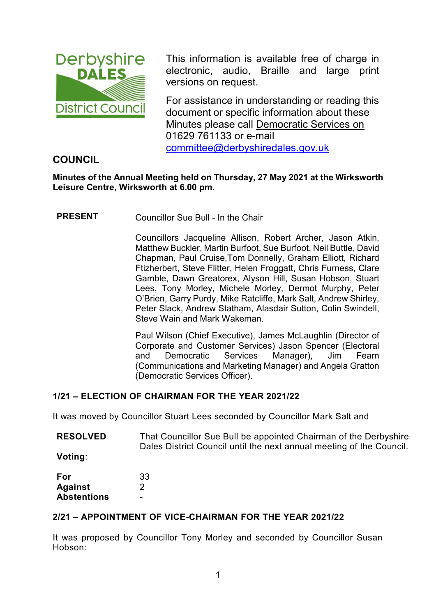

This information is available free of charge in electronic, audio, Braille and large print versions on request.

For assistance in understanding or reading this document or specific information about these Minutes please call Democratic Services on 01629 761133 or e-mail [committee@derbyshiredales.gov.uk](mailto:committee@derbyshiredales.gov.uk)

## **COUNCIL**

**Minutes of the Annual Meeting held on Thursday, 27 May 2021 at the Wirksworth Leisure Centre, Wirksworth at 6.00 pm.**

**PRESENT** Councillor Sue Bull - In the Chair

Councillors Jacqueline Allison, Robert Archer, Jason Atkin, Matthew Buckler, Martin Burfoot, Sue Burfoot, Neil Buttle, David Chapman, Paul Cruise,Tom Donnelly, Graham Elliott, Richard Ftizherbert, Steve Flitter, Helen Froggatt, Chris Furness, Clare Gamble, Dawn Greatorex, Alyson Hill, Susan Hobson, Stuart Lees, Tony Morley, Michele Morley, Dermot Murphy, Peter O'Brien, Garry Purdy, Mike Ratcliffe, Mark Salt, Andrew Shirley, Peter Slack, Andrew Statham, Alasdair Sutton, Colin Swindell, Steve Wain and Mark Wakeman.

Paul Wilson (Chief Executive), James McLaughlin (Director of Corporate and Customer Services) Jason Spencer (Electoral and Democratic Services Manager), Jim Fearn (Communications and Marketing Manager) and Angela Gratton (Democratic Services Officer).

## **1/21 – ELECTION OF CHAIRMAN FOR THE YEAR 2021/22**

It was moved by Councillor Stuart Lees seconded by Councillor Mark Salt and

**RESOLVED** That Councillor Sue Bull be appointed Chairman of the Derbyshire Dales District Council until the next annual meeting of the Council.

**Voting**:

| For                | 33 |
|--------------------|----|
| <b>Against</b>     | 2  |
| <b>Abstentions</b> |    |

## **2/21 – APPOINTMENT OF VICE-CHAIRMAN FOR THE YEAR 2021/22**

It was proposed by Councillor Tony Morley and seconded by Councillor Susan Hobson: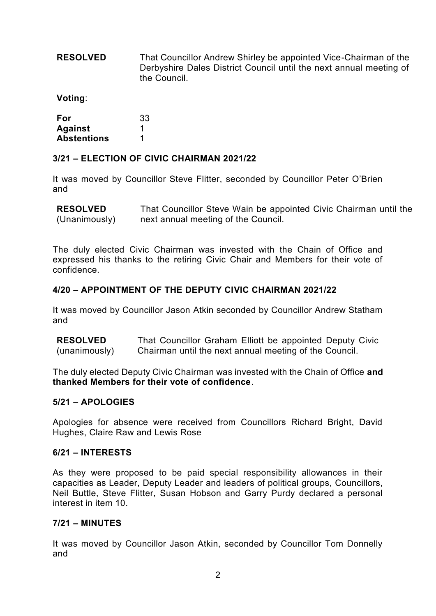**RESOLVED** That Councillor Andrew Shirley be appointed Vice-Chairman of the Derbyshire Dales District Council until the next annual meeting of the Council.

**Voting**:

| For                | 33 |
|--------------------|----|
| <b>Against</b>     |    |
| <b>Abstentions</b> | 1  |

#### **3/21 – ELECTION OF CIVIC CHAIRMAN 2021/22**

It was moved by Councillor Steve Flitter, seconded by Councillor Peter O'Brien and

**RESOLVED** (Unanimously) That Councillor Steve Wain be appointed Civic Chairman until the next annual meeting of the Council.

The duly elected Civic Chairman was invested with the Chain of Office and expressed his thanks to the retiring Civic Chair and Members for their vote of confidence.

#### **4/20 – APPOINTMENT OF THE DEPUTY CIVIC CHAIRMAN 2021/22**

It was moved by Councillor Jason Atkin seconded by Councillor Andrew Statham and

**RESOLVED** (unanimously) That Councillor Graham Elliott be appointed Deputy Civic Chairman until the next annual meeting of the Council.

The duly elected Deputy Civic Chairman was invested with the Chain of Office **and thanked Members for their vote of confidence**.

#### **5/21 – APOLOGIES**

Apologies for absence were received from Councillors Richard Bright, David Hughes, Claire Raw and Lewis Rose

#### **6/21 – INTERESTS**

As they were proposed to be paid special responsibility allowances in their capacities as Leader, Deputy Leader and leaders of political groups, Councillors, Neil Buttle, Steve Flitter, Susan Hobson and Garry Purdy declared a personal interest in item 10.

#### **7/21 – MINUTES**

It was moved by Councillor Jason Atkin, seconded by Councillor Tom Donnelly and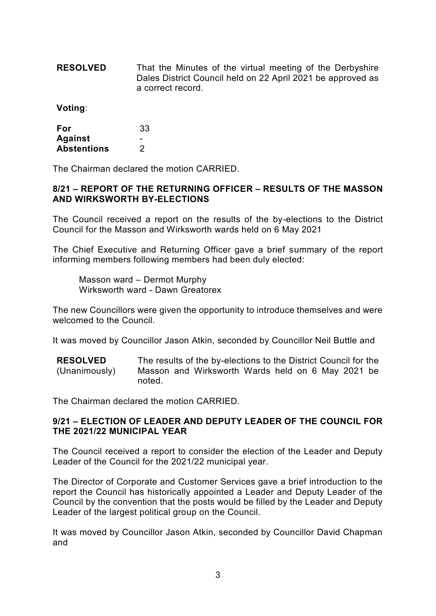**RESOLVED** That the Minutes of the virtual meeting of the Derbyshire Dales District Council held on 22 April 2021 be approved as a correct record.

**Voting**:

| For                | 33 |
|--------------------|----|
| <b>Against</b>     |    |
| <b>Abstentions</b> | 2  |

The Chairman declared the motion CARRIED.

#### **8/21 – REPORT OF THE RETURNING OFFICER – RESULTS OF THE MASSON AND WIRKSWORTH BY-ELECTIONS**

The Council received a report on the results of the by-elections to the District Council for the Masson and Wirksworth wards held on 6 May 2021

The Chief Executive and Returning Officer gave a brief summary of the report informing members following members had been duly elected:

Masson ward – Dermot Murphy Wirksworth ward - Dawn Greatorex

The new Councillors were given the opportunity to introduce themselves and were welcomed to the Council.

It was moved by Councillor Jason Atkin, seconded by Councillor Neil Buttle and

**RESOLVED** (Unanimously) The results of the by-elections to the District Council for the Masson and Wirksworth Wards held on 6 May 2021 be noted.

The Chairman declared the motion CARRIED.

#### **9/21 – ELECTION OF LEADER AND DEPUTY LEADER OF THE COUNCIL FOR THE 2021/22 MUNICIPAL YEAR**

The Council received a report to consider the election of the Leader and Deputy Leader of the Council for the 2021/22 municipal year.

The Director of Corporate and Customer Services gave a brief introduction to the report the Council has historically appointed a Leader and Deputy Leader of the Council by the convention that the posts would be filled by the Leader and Deputy Leader of the largest political group on the Council.

It was moved by Councillor Jason Atkin, seconded by Councillor David Chapman and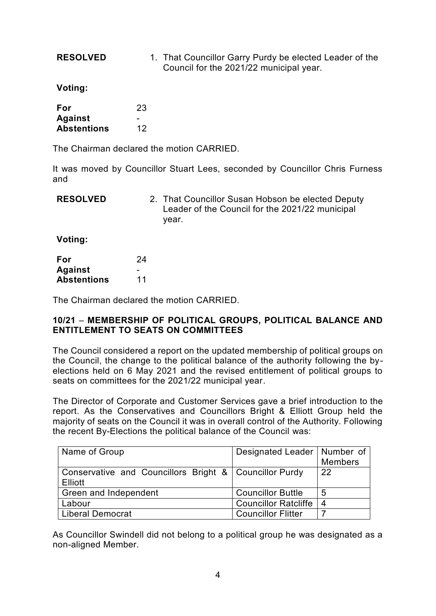**RESOLVED** 1. That Councillor Garry Purdy be elected Leader of the Council for the 2021/22 municipal year.

**Voting:**

| <b>For</b>         | 23 |
|--------------------|----|
| <b>Against</b>     |    |
| <b>Abstentions</b> | 12 |

The Chairman declared the motion CARRIED.

It was moved by Councillor Stuart Lees, seconded by Councillor Chris Furness and

| <b>RESOLVED</b> |  | 2. That Councillor Susan Hobson be elected Deputy |
|-----------------|--|---------------------------------------------------|
|                 |  | Leader of the Council for the 2021/22 municipal   |
|                 |  | vear.                                             |

**Voting:**

| For                | 24 |
|--------------------|----|
| <b>Against</b>     |    |
| <b>Abstentions</b> | 11 |

The Chairman declared the motion CARRIED.

#### **10/21** – **MEMBERSHIP OF POLITICAL GROUPS, POLITICAL BALANCE AND ENTITLEMENT TO SEATS ON COMMITTEES**

The Council considered a report on the updated membership of political groups on the Council, the change to the political balance of the authority following the byelections held on 6 May 2021 and the revised entitlement of political groups to seats on committees for the 2021/22 municipal year.

The Director of Corporate and Customer Services gave a brief introduction to the report. As the Conservatives and Councillors Bright & Elliott Group held the majority of seats on the Council it was in overall control of the Authority. Following the recent By-Elections the political balance of the Council was:

| Name of Group                                            | Designated Leader   Number of |                |
|----------------------------------------------------------|-------------------------------|----------------|
|                                                          |                               | <b>Members</b> |
| Conservative and Councillors Bright &   Councillor Purdy |                               | 22             |
| Elliott                                                  |                               |                |
| Green and Independent                                    | <b>Councillor Buttle</b>      | 5              |
| ∟abour                                                   | <b>Councillor Ratcliffe</b>   | -4             |
| <b>Liberal Democrat</b>                                  | <b>Councillor Flitter</b>     |                |

As Councillor Swindell did not belong to a political group he was designated as a non-aligned Member.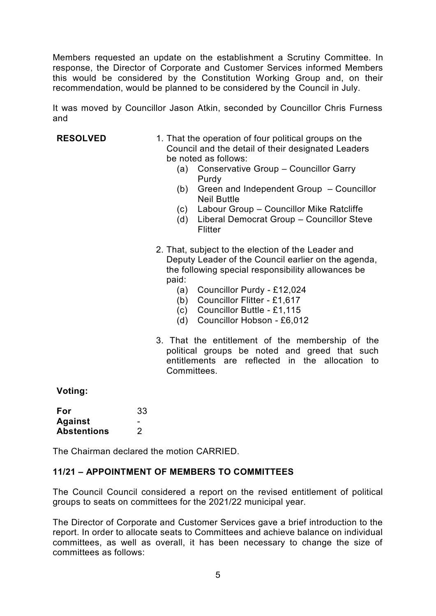Members requested an update on the establishment a Scrutiny Committee. In response, the Director of Corporate and Customer Services informed Members this would be considered by the Constitution Working Group and, on their recommendation, would be planned to be considered by the Council in July.

It was moved by Councillor Jason Atkin, seconded by Councillor Chris Furness and

- **RESOLVED** 1. That the operation of four political groups on the Council and the detail of their designated Leaders be noted as follows:
	- (a) Conservative Group Councillor Garry Purdy
	- (b) Green and Independent Group Councillor Neil Buttle
	- (c) Labour Group Councillor Mike Ratcliffe
	- (d) Liberal Democrat Group Councillor Steve **Flitter**
	- 2. That, subject to the election of the Leader and Deputy Leader of the Council earlier on the agenda, the following special responsibility allowances be paid:
		- (a) Councillor Purdy £12,024
		- (b) Councillor Flitter £1,617
		- (c) Councillor Buttle £1,115
		- (d) Councillor Hobson £6,012
	- 3. That the entitlement of the membership of the political groups be noted and greed that such entitlements are reflected in the allocation to **Committees**

#### **Voting:**

| For                | 33 |
|--------------------|----|
| <b>Against</b>     |    |
| <b>Abstentions</b> | 2  |

The Chairman declared the motion CARRIED.

#### **11/21 – APPOINTMENT OF MEMBERS TO COMMITTEES**

The Council Council considered a report on the revised entitlement of political groups to seats on committees for the 2021/22 municipal year.

The Director of Corporate and Customer Services gave a brief introduction to the report. In order to allocate seats to Committees and achieve balance on individual committees, as well as overall, it has been necessary to change the size of committees as follows: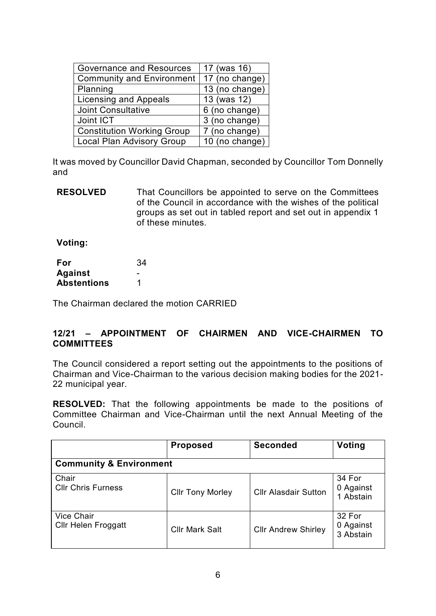| <b>Governance and Resources</b>   | 17 (was 16)    |
|-----------------------------------|----------------|
| Community and Environment         | 17 (no change) |
| Planning                          | 13 (no change) |
| <b>Licensing and Appeals</b>      | 13 (was 12)    |
| <b>Joint Consultative</b>         | 6 (no change)  |
| Joint ICT                         | 3 (no change)  |
| <b>Constitution Working Group</b> | 7 (no change)  |
| <b>Local Plan Advisory Group</b>  | 10 (no change) |

It was moved by Councillor David Chapman, seconded by Councillor Tom Donnelly and

**RESOLVED** That Councillors be appointed to serve on the Committees of the Council in accordance with the wishes of the political groups as set out in tabled report and set out in appendix 1 of these minutes.

**Voting:**

| For                | 34 |
|--------------------|----|
| <b>Against</b>     |    |
| <b>Abstentions</b> |    |

The Chairman declared the motion CARRIED

#### **12/21 – APPOINTMENT OF CHAIRMEN AND VICE-CHAIRMEN TO COMMITTEES**

The Council considered a report setting out the appointments to the positions of Chairman and Vice-Chairman to the various decision making bodies for the 2021- 22 municipal year.

**RESOLVED:** That the following appointments be made to the positions of Committee Chairman and Vice-Chairman until the next Annual Meeting of the Council.

|                                                 | <b>Proposed</b>         | <b>Seconded</b>             | <b>Voting</b>                    |  |
|-------------------------------------------------|-------------------------|-----------------------------|----------------------------------|--|
| <b>Community &amp; Environment</b>              |                         |                             |                                  |  |
| Chair<br><b>CIIr Chris Furness</b>              | <b>Cllr Tony Morley</b> | <b>Cllr Alasdair Sutton</b> | 34 For<br>0 Against<br>1 Abstain |  |
| <b>Vice Chair</b><br><b>Cllr Helen Froggatt</b> | <b>Cllr Mark Salt</b>   | <b>CIIr Andrew Shirley</b>  | 32 For<br>0 Against<br>3 Abstain |  |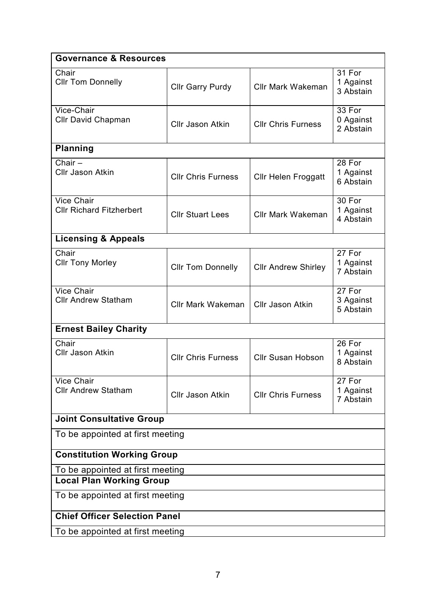| <b>Governance &amp; Resources</b>                    |                           |                            |                                  |
|------------------------------------------------------|---------------------------|----------------------------|----------------------------------|
| Chair<br><b>Cllr Tom Donnelly</b>                    | <b>Cllr Garry Purdy</b>   | <b>Cllr Mark Wakeman</b>   | 31 For<br>1 Against<br>3 Abstain |
| Vice-Chair<br>Cllr David Chapman                     | <b>Cllr Jason Atkin</b>   | <b>Cllr Chris Furness</b>  | 33 For<br>0 Against<br>2 Abstain |
| <b>Planning</b>                                      |                           |                            |                                  |
| Chair $-$<br><b>Cllr Jason Atkin</b>                 | <b>Cllr Chris Furness</b> | <b>Cllr Helen Froggatt</b> | 28 For<br>1 Against<br>6 Abstain |
| <b>Vice Chair</b><br><b>Cllr Richard Fitzherbert</b> | <b>Cllr Stuart Lees</b>   | <b>Cllr Mark Wakeman</b>   | 30 For<br>1 Against<br>4 Abstain |
| <b>Licensing &amp; Appeals</b>                       |                           |                            |                                  |
| Chair<br><b>Cllr Tony Morley</b>                     | <b>Cllr Tom Donnelly</b>  | <b>Cllr Andrew Shirley</b> | 27 For<br>1 Against<br>7 Abstain |
| <b>Vice Chair</b><br><b>Cllr Andrew Statham</b>      | <b>Cllr Mark Wakeman</b>  | <b>CIIr Jason Atkin</b>    | 27 For<br>3 Against<br>5 Abstain |
| <b>Ernest Bailey Charity</b>                         |                           |                            |                                  |
| Chair<br><b>Cllr Jason Atkin</b>                     | <b>Cllr Chris Furness</b> | <b>Cllr Susan Hobson</b>   | 26 For<br>1 Against<br>8 Abstain |
| Vice Chair<br><b>Cllr Andrew Statham</b>             | <b>Cllr Jason Atkin</b>   | <b>CIIr Chris Furness</b>  | 27 For<br>1 Against<br>7 Abstain |
| <b>Joint Consultative Group</b>                      |                           |                            |                                  |
| To be appointed at first meeting                     |                           |                            |                                  |
| <b>Constitution Working Group</b>                    |                           |                            |                                  |
| To be appointed at first meeting                     |                           |                            |                                  |
| <b>Local Plan Working Group</b>                      |                           |                            |                                  |
| To be appointed at first meeting                     |                           |                            |                                  |
| <b>Chief Officer Selection Panel</b>                 |                           |                            |                                  |
| To be appointed at first meeting                     |                           |                            |                                  |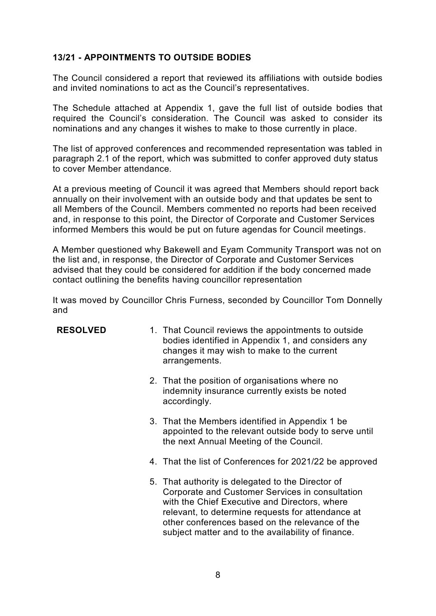### **13/21 - APPOINTMENTS TO OUTSIDE BODIES**

The Council considered a report that reviewed its affiliations with outside bodies and invited nominations to act as the Council's representatives.

The Schedule attached at Appendix 1, gave the full list of outside bodies that required the Council's consideration. The Council was asked to consider its nominations and any changes it wishes to make to those currently in place.

The list of approved conferences and recommended representation was tabled in paragraph 2.1 of the report, which was submitted to confer approved duty status to cover Member attendance.

At a previous meeting of Council it was agreed that Members should report back annually on their involvement with an outside body and that updates be sent to all Members of the Council. Members commented no reports had been received and, in response to this point, the Director of Corporate and Customer Services informed Members this would be put on future agendas for Council meetings.

A Member questioned why Bakewell and Eyam Community Transport was not on the list and, in response, the Director of Corporate and Customer Services advised that they could be considered for addition if the body concerned made contact outlining the benefits having councillor representation

It was moved by Councillor Chris Furness, seconded by Councillor Tom Donnelly and

| <b>RESOLVED</b> | 1. That Council reviews the appointments to outside<br>bodies identified in Appendix 1, and considers any<br>changes it may wish to make to the current<br>arrangements. |
|-----------------|--------------------------------------------------------------------------------------------------------------------------------------------------------------------------|
|                 |                                                                                                                                                                          |

- 2. That the position of organisations where no indemnity insurance currently exists be noted accordingly.
- 3. That the Members identified in Appendix 1 be appointed to the relevant outside body to serve until the next Annual Meeting of the Council.
- 4. That the list of Conferences for 2021/22 be approved
- 5. That authority is delegated to the Director of Corporate and Customer Services in consultation with the Chief Executive and Directors, where relevant, to determine requests for attendance at other conferences based on the relevance of the subject matter and to the availability of finance.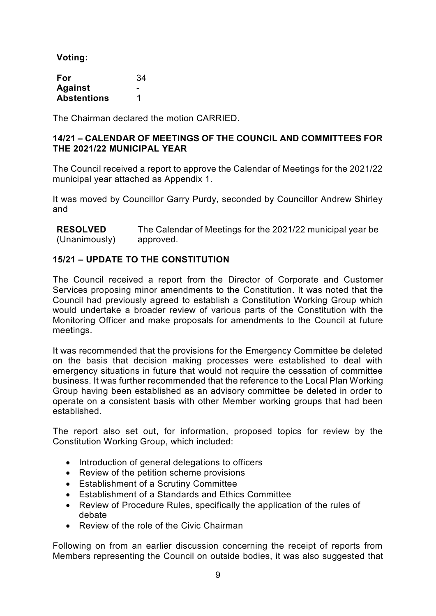**Voting:**

| For                | 34 |
|--------------------|----|
| <b>Against</b>     |    |
| <b>Abstentions</b> |    |

The Chairman declared the motion CARRIED.

#### **14/21 – CALENDAR OF MEETINGS OF THE COUNCIL AND COMMITTEES FOR THE 2021/22 MUNICIPAL YEAR**

The Council received a report to approve the Calendar of Meetings for the 2021/22 municipal year attached as Appendix 1.

It was moved by Councillor Garry Purdy, seconded by Councillor Andrew Shirley and

**RESOLVED** (Unanimously) The Calendar of Meetings for the 2021/22 municipal year be approved.

#### **15/21 – UPDATE TO THE CONSTITUTION**

The Council received a report from the Director of Corporate and Customer Services proposing minor amendments to the Constitution. It was noted that the Council had previously agreed to establish a Constitution Working Group which would undertake a broader review of various parts of the Constitution with the Monitoring Officer and make proposals for amendments to the Council at future meetings.

It was recommended that the provisions for the Emergency Committee be deleted on the basis that decision making processes were established to deal with emergency situations in future that would not require the cessation of committee business. It was further recommended that the reference to the Local Plan Working Group having been established as an advisory committee be deleted in order to operate on a consistent basis with other Member working groups that had been established.

The report also set out, for information, proposed topics for review by the Constitution Working Group, which included:

- Introduction of general delegations to officers
- Review of the petition scheme provisions
- Establishment of a Scrutiny Committee
- Establishment of a Standards and Ethics Committee
- Review of Procedure Rules, specifically the application of the rules of debate
- Review of the role of the Civic Chairman

Following on from an earlier discussion concerning the receipt of reports from Members representing the Council on outside bodies, it was also suggested that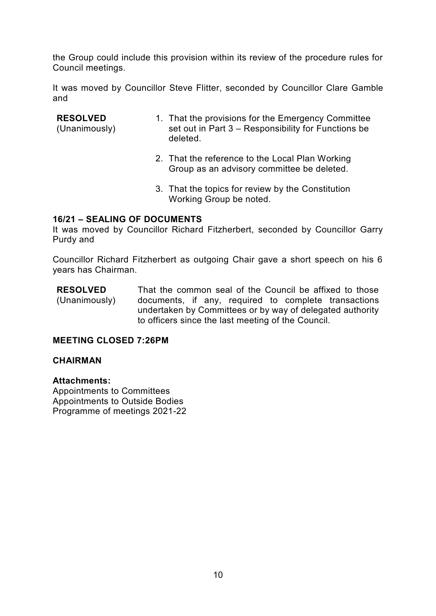the Group could include this provision within its review of the procedure rules for Council meetings.

It was moved by Councillor Steve Flitter, seconded by Councillor Clare Gamble and

#### **RESOLVED**

(Unanimously)

- 1. That the provisions for the Emergency Committee set out in Part 3 – Responsibility for Functions be deleted.
- 2. That the reference to the Local Plan Working Group as an advisory committee be deleted.
- 3. That the topics for review by the Constitution Working Group be noted.

#### **16/21 – SEALING OF DOCUMENTS**

It was moved by Councillor Richard Fitzherbert, seconded by Councillor Garry Purdy and

Councillor Richard Fitzherbert as outgoing Chair gave a short speech on his 6 years has Chairman.

**RESOLVED** (Unanimously) That the common seal of the Council be affixed to those documents, if any, required to complete transactions undertaken by Committees or by way of delegated authority to officers since the last meeting of the Council.

#### **MEETING CLOSED 7:26PM**

#### **CHAIRMAN**

**Attachments:** Appointments to Committees Appointments to Outside Bodies Programme of meetings 2021-22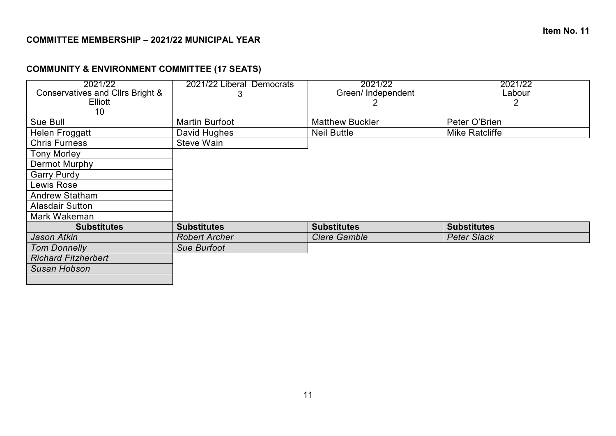# **COMMUNITY & ENVIRONMENT COMMITTEE (17 SEATS)**

| 2021/22<br>Conservatives and Cllrs Bright &<br>Elliott | 2021/22 Liberal Democrats<br>3 | 2021/22<br>Green/Independent | 2021/22<br>Labour<br>2 |
|--------------------------------------------------------|--------------------------------|------------------------------|------------------------|
| 10 <sup>°</sup><br>Sue Bull                            | Martin Burfoot                 | <b>Matthew Buckler</b>       | Peter O'Brien          |
| Helen Froggatt                                         | David Hughes                   | <b>Neil Buttle</b>           | <b>Mike Ratcliffe</b>  |
| <b>Chris Furness</b>                                   | Steve Wain                     |                              |                        |
| <b>Tony Morley</b>                                     |                                |                              |                        |
| Dermot Murphy                                          |                                |                              |                        |
| <b>Garry Purdy</b>                                     |                                |                              |                        |
| Lewis Rose                                             |                                |                              |                        |
| <b>Andrew Statham</b>                                  |                                |                              |                        |
| <b>Alasdair Sutton</b>                                 |                                |                              |                        |
| Mark Wakeman                                           |                                |                              |                        |
| <b>Substitutes</b>                                     | <b>Substitutes</b>             | <b>Substitutes</b>           | <b>Substitutes</b>     |
| Jason Atkin                                            | <b>Robert Archer</b>           | <b>Clare Gamble</b>          | <b>Peter Slack</b>     |
| <b>Tom Donnelly</b>                                    | <b>Sue Burfoot</b>             |                              |                        |
| <b>Richard Fitzherbert</b>                             |                                |                              |                        |
| Susan Hobson                                           |                                |                              |                        |
|                                                        |                                |                              |                        |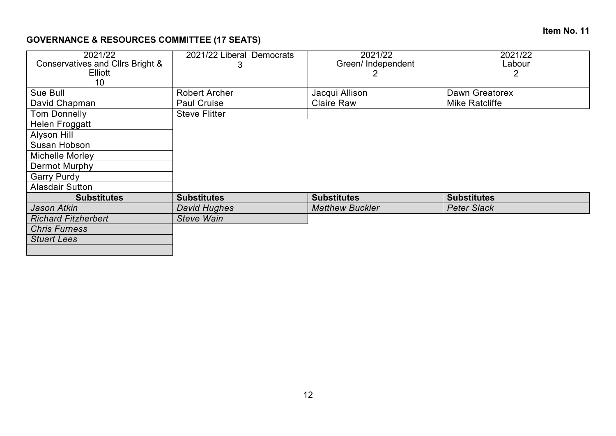### **Item No. 11**

# **GOVERNANCE & RESOURCES COMMITTEE (17 SEATS)**

| 2021/22 Liberal Democrats | 2021/22                | 2021/22            |
|---------------------------|------------------------|--------------------|
| 3                         | Green/ Independent     | Labour             |
|                           |                        |                    |
|                           |                        |                    |
| <b>Robert Archer</b>      | Jacqui Allison         | Dawn Greatorex     |
| <b>Paul Cruise</b>        | <b>Claire Raw</b>      | Mike Ratcliffe     |
| <b>Steve Flitter</b>      |                        |                    |
|                           |                        |                    |
|                           |                        |                    |
|                           |                        |                    |
|                           |                        |                    |
|                           |                        |                    |
|                           |                        |                    |
|                           |                        |                    |
| <b>Substitutes</b>        | <b>Substitutes</b>     | <b>Substitutes</b> |
| David Hughes              | <b>Matthew Buckler</b> | <b>Peter Slack</b> |
| <b>Steve Wain</b>         |                        |                    |
|                           |                        |                    |
|                           |                        |                    |
|                           |                        |                    |
|                           |                        |                    |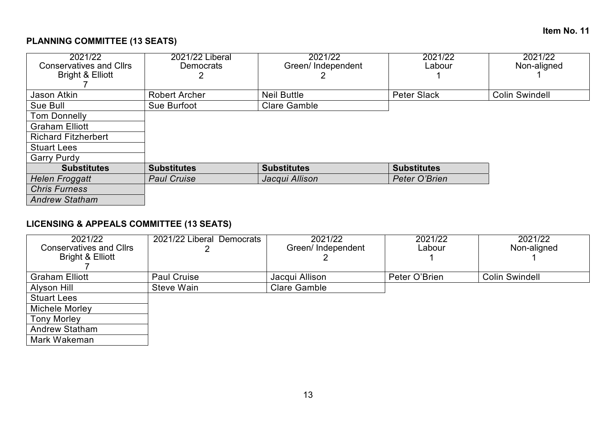# **PLANNING COMMITTEE (13 SEATS)**

| 2021/22<br><b>Conservatives and Cllrs</b><br><b>Bright &amp; Elliott</b> | 2021/22 Liberal<br><b>Democrats</b> | 2021/22<br>Green/Independent | 2021/22<br>Labour  | 2021/22<br>Non-aligned |
|--------------------------------------------------------------------------|-------------------------------------|------------------------------|--------------------|------------------------|
|                                                                          |                                     |                              |                    |                        |
| Jason Atkin                                                              | <b>Robert Archer</b>                | <b>Neil Buttle</b>           | <b>Peter Slack</b> | <b>Colin Swindell</b>  |
| Sue Bull                                                                 | Sue Burfoot                         | <b>Clare Gamble</b>          |                    |                        |
| <b>Tom Donnelly</b>                                                      |                                     |                              |                    |                        |
| <b>Graham Elliott</b>                                                    |                                     |                              |                    |                        |
| <b>Richard Fitzherbert</b>                                               |                                     |                              |                    |                        |
| <b>Stuart Lees</b>                                                       |                                     |                              |                    |                        |
| <b>Garry Purdy</b>                                                       |                                     |                              |                    |                        |
| <b>Substitutes</b>                                                       | <b>Substitutes</b>                  | <b>Substitutes</b>           | <b>Substitutes</b> |                        |
| <b>Helen Froggatt</b>                                                    | <b>Paul Cruise</b>                  | Jacqui Allison               | Peter O'Brien      |                        |
| <b>Chris Furness</b>                                                     |                                     |                              |                    |                        |
| <b>Andrew Statham</b>                                                    |                                     |                              |                    |                        |

# **LICENSING & APPEALS COMMITTEE (13 SEATS)**

| 2021/22                        | 2021/22 Liberal Democrats | 2021/22             | 2021/22       | 2021/22               |
|--------------------------------|---------------------------|---------------------|---------------|-----------------------|
| <b>Conservatives and Cllrs</b> |                           | Green/Independent   | Labour        | Non-aligned           |
| Bright & Elliott               |                           |                     |               |                       |
|                                |                           |                     |               |                       |
| <b>Graham Elliott</b>          | <b>Paul Cruise</b>        | Jacqui Allison      | Peter O'Brien | <b>Colin Swindell</b> |
| Alyson Hill                    | Steve Wain                | <b>Clare Gamble</b> |               |                       |
| <b>Stuart Lees</b>             |                           |                     |               |                       |
| Michele Morley                 |                           |                     |               |                       |
| <b>Tony Morley</b>             |                           |                     |               |                       |
| <b>Andrew Statham</b>          |                           |                     |               |                       |
| Mark Wakeman                   |                           |                     |               |                       |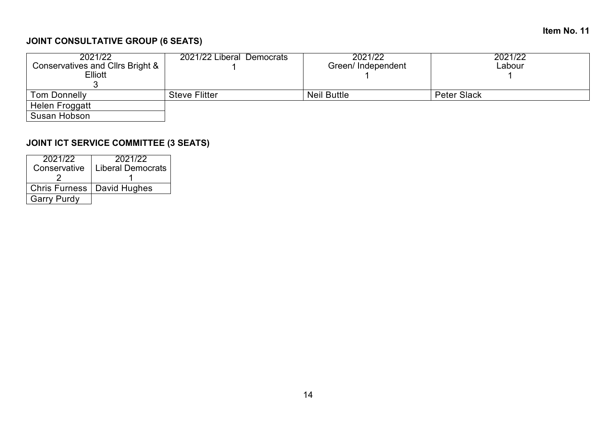## **Item No. 11**

# **JOINT CONSULTATIVE GROUP (6 SEATS)**

| 2021/22                          | 2021/22 Liberal Democrats | 2021/22            | 2021/22            |
|----------------------------------|---------------------------|--------------------|--------------------|
| Conservatives and Cllrs Bright & |                           | Green/Independent  | Labour             |
| Elliott                          |                           |                    |                    |
|                                  |                           |                    |                    |
| <b>Tom Donnelly</b>              | <b>Steve Flitter</b>      | <b>Neil Buttle</b> | <b>Peter Slack</b> |
| Helen Froggatt                   |                           |                    |                    |
| Susan Hobson                     |                           |                    |                    |

# **JOINT ICT SERVICE COMMITTEE (3 SEATS)**

| 2021/22<br>Conservative      | 2021/22<br><b>Liberal Democrats</b> |
|------------------------------|-------------------------------------|
|                              |                                     |
| Chris Furness   David Hughes |                                     |
| <b>Garry Purdy</b>           |                                     |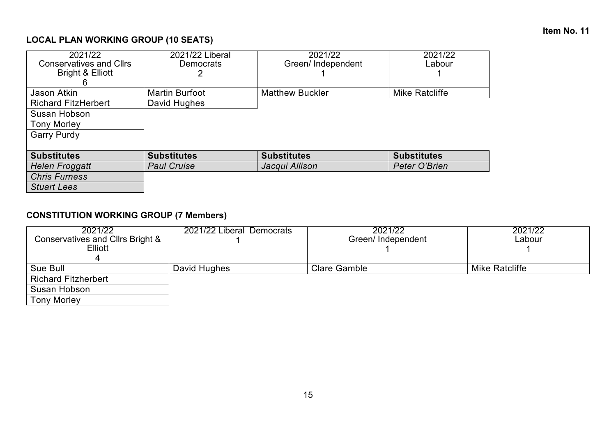# **LOCAL PLAN WORKING GROUP (10 SEATS)**

| 2021/22                        | 2021/22 Liberal       | 2021/22                | 2021/22            |
|--------------------------------|-----------------------|------------------------|--------------------|
| <b>Conservatives and Cllrs</b> | <b>Democrats</b>      | Green/Independent      | Labour             |
| Bright & Elliott               |                       |                        |                    |
|                                |                       |                        |                    |
| Jason Atkin                    | <b>Martin Burfoot</b> | <b>Matthew Buckler</b> | Mike Ratcliffe     |
| <b>Richard FitzHerbert</b>     | David Hughes          |                        |                    |
| Susan Hobson                   |                       |                        |                    |
| <b>Tony Morley</b>             |                       |                        |                    |
| <b>Garry Purdy</b>             |                       |                        |                    |
|                                |                       |                        |                    |
| <b>Substitutes</b>             | <b>Substitutes</b>    | <b>Substitutes</b>     | <b>Substitutes</b> |
| <b>Helen Froggatt</b>          | <b>Paul Cruise</b>    | Jacqui Allison         | Peter O'Brien      |
| <b>Chris Furness</b>           |                       |                        |                    |
| <b>Stuart Lees</b>             |                       |                        |                    |

# **CONSTITUTION WORKING GROUP (7 Members)**

| 2021/22                          | 2021/22 Liberal Democrats | 2021/22             | 2021/22               |
|----------------------------------|---------------------------|---------------------|-----------------------|
| Conservatives and Cllrs Bright & |                           | Green/Independent   | Labour                |
| <b>Elliott</b>                   |                           |                     |                       |
|                                  |                           |                     |                       |
| Sue Bull                         | David Hughes              | <b>Clare Gamble</b> | <b>Mike Ratcliffe</b> |
| <b>Richard Fitzherbert</b>       |                           |                     |                       |
| Susan Hobson                     |                           |                     |                       |
| <b>Tony Morley</b>               |                           |                     |                       |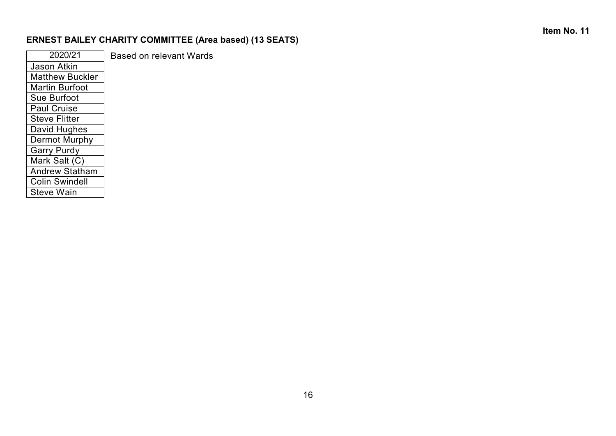# **Item No. 11**

# **ERNEST BAILEY CHARITY COMMITTEE (Area based) (13 SEATS)**

| 2020/21                | <b>Based on relevant Wards</b> |
|------------------------|--------------------------------|
| <b>Jason Atkin</b>     |                                |
| <b>Matthew Buckler</b> |                                |
| <b>Martin Burfoot</b>  |                                |
| Sue Burfoot            |                                |
| <b>Paul Cruise</b>     |                                |
| <b>Steve Flitter</b>   |                                |
| David Hughes           |                                |
| Dermot Murphy          |                                |
| <b>Garry Purdy</b>     |                                |
| Mark Salt (C)          |                                |
| <b>Andrew Statham</b>  |                                |
| <b>Colin Swindell</b>  |                                |
| <b>Steve Wain</b>      |                                |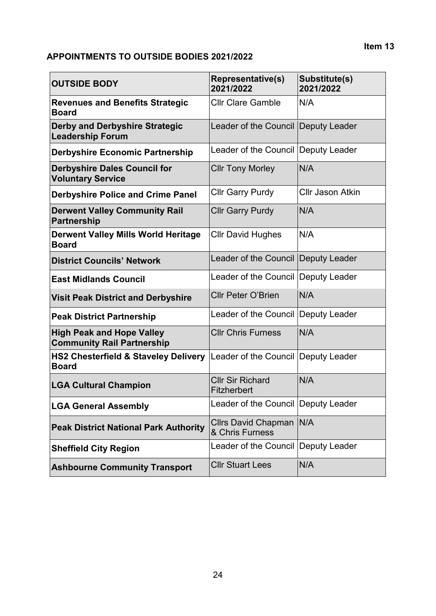## **APPOINTMENTS TO OUTSIDE BODIES 2021/2022**

| <b>OUTSIDE BODY</b>                                                   | <b>Representative(s)</b><br>2021/2022         | Substitute(s)<br>2021/2022 |
|-----------------------------------------------------------------------|-----------------------------------------------|----------------------------|
| <b>Revenues and Benefits Strategic</b><br><b>Board</b>                | <b>Cllr Clare Gamble</b>                      | N/A                        |
| <b>Derby and Derbyshire Strategic</b><br><b>Leadership Forum</b>      | Leader of the Council                         | <b>Deputy Leader</b>       |
| <b>Derbyshire Economic Partnership</b>                                | Leader of the Council   Deputy Leader         |                            |
| <b>Derbyshire Dales Council for</b><br><b>Voluntary Service</b>       | <b>Cllr Tony Morley</b>                       | N/A                        |
| <b>Derbyshire Police and Crime Panel</b>                              | <b>Cllr Garry Purdy</b>                       | <b>CIIr Jason Atkin</b>    |
| <b>Derwent Valley Community Rail</b><br><b>Partnership</b>            | <b>Cllr Garry Purdy</b>                       | N/A                        |
| <b>Derwent Valley Mills World Heritage</b><br><b>Board</b>            | <b>Cllr David Hughes</b>                      | N/A                        |
| <b>District Councils' Network</b>                                     | Leader of the Council                         | <b>Deputy Leader</b>       |
| <b>East Midlands Council</b>                                          | Leader of the Council                         | Deputy Leader              |
| <b>Visit Peak District and Derbyshire</b>                             | <b>Cllr Peter O'Brien</b>                     | N/A                        |
| <b>Peak District Partnership</b>                                      | Leader of the Council                         | Deputy Leader              |
| <b>High Peak and Hope Valley</b><br><b>Community Rail Partnership</b> | <b>Cllr Chris Furness</b>                     | N/A                        |
| <b>HS2 Chesterfield &amp; Staveley Delivery</b><br><b>Board</b>       | Leader of the Council                         | <b>Deputy Leader</b>       |
| <b>LGA Cultural Champion</b>                                          | <b>CIIr Sir Richard</b><br><b>Fitzherbert</b> | N/A                        |
| <b>LGA General Assembly</b>                                           | Leader of the Council Deputy Leader           |                            |
| <b>Peak District National Park Authority</b>                          | Cllrs David Chapman   N/A<br>& Chris Furness  |                            |
| <b>Sheffield City Region</b>                                          | Leader of the Council                         | Deputy Leader              |
| <b>Ashbourne Community Transport</b>                                  | <b>CIIr Stuart Lees</b>                       | N/A                        |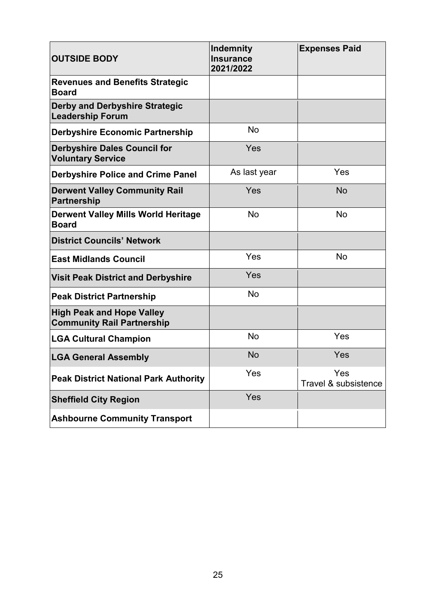| <b>OUTSIDE BODY</b>                                                   | <b>Indemnity</b><br><b>Insurance</b><br>2021/2022 | <b>Expenses Paid</b>        |
|-----------------------------------------------------------------------|---------------------------------------------------|-----------------------------|
| <b>Revenues and Benefits Strategic</b><br><b>Board</b>                |                                                   |                             |
| <b>Derby and Derbyshire Strategic</b><br><b>Leadership Forum</b>      |                                                   |                             |
| <b>Derbyshire Economic Partnership</b>                                | <b>No</b>                                         |                             |
| <b>Derbyshire Dales Council for</b><br><b>Voluntary Service</b>       | Yes                                               |                             |
| <b>Derbyshire Police and Crime Panel</b>                              | As last year                                      | Yes                         |
| <b>Derwent Valley Community Rail</b><br>Partnership                   | Yes                                               | <b>No</b>                   |
| <b>Derwent Valley Mills World Heritage</b><br><b>Board</b>            | No                                                | No                          |
| <b>District Councils' Network</b>                                     |                                                   |                             |
| <b>East Midlands Council</b>                                          | Yes                                               | No                          |
| <b>Visit Peak District and Derbyshire</b>                             | Yes                                               |                             |
| <b>Peak District Partnership</b>                                      | No                                                |                             |
| <b>High Peak and Hope Valley</b><br><b>Community Rail Partnership</b> |                                                   |                             |
| <b>LGA Cultural Champion</b>                                          | <b>No</b>                                         | Yes                         |
| <b>LGA General Assembly</b>                                           | <b>No</b>                                         | Yes                         |
| <b>Peak District National Park Authority</b>                          | Yes                                               | Yes<br>Travel & subsistence |
| <b>Sheffield City Region</b>                                          | Yes                                               |                             |
| <b>Ashbourne Community Transport</b>                                  |                                                   |                             |